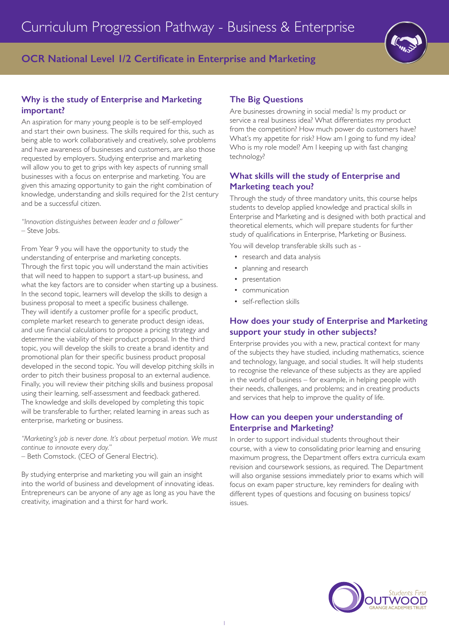# **OCR National Level 1/2 Certificate in Enterprise and Marketing**

## **Why is the study of Enterprise and Marketing important?**

An aspiration for many young people is to be self-employed and start their own business. The skills required for this, such as being able to work collaboratively and creatively, solve problems and have awareness of businesses and customers, are also those requested by employers. Studying enterprise and marketing will allow you to get to grips with key aspects of running small businesses with a focus on enterprise and marketing. You are given this amazing opportunity to gain the right combination of knowledge, understanding and skills required for the 21st century and be a successful citizen.

*"Innovation distinguishes between leader and a follower"* – Steve Jobs.

From Year 9 you will have the opportunity to study the understanding of enterprise and marketing concepts. Through the first topic you will understand the main activities that will need to happen to support a start-up business, and what the key factors are to consider when starting up a business. In the second topic, learners will develop the skills to design a business proposal to meet a specific business challenge. They will identify a customer profile for a specific product, complete market research to generate product design ideas, and use financial calculations to propose a pricing strategy and determine the viability of their product proposal. In the third topic, you will develop the skills to create a brand identity and promotional plan for their specific business product proposal developed in the second topic. You will develop pitching skills in order to pitch their business proposal to an external audience. Finally, you will review their pitching skills and business proposal using their learning, self-assessment and feedback gathered. The knowledge and skills developed by completing this topic will be transferable to further, related learning in areas such as enterprise, marketing or business.

*"Marketing's job is never done. It's about perpetual motion. We must continue to innovate every day."* – Beth Comstock. (CEO of General Electric).

By studying enterprise and marketing you will gain an insight into the world of business and development of innovating ideas. Entrepreneurs can be anyone of any age as long as you have the creativity, imagination and a thirst for hard work.

## **The Big Questions**

Are businesses drowning in social media? Is my product or service a real business idea? What differentiates my product from the competition? How much power do customers have? What's my appetite for risk? How am I going to fund my idea? Who is my role model? Am I keeping up with fast changing technology?

## **What skills will the study of Enterprise and Marketing teach you?**

Through the study of three mandatory units, this course helps students to develop applied knowledge and practical skills in Enterprise and Marketing and is designed with both practical and theoretical elements, which will prepare students for further study of qualifications in Enterprise, Marketing or Business.

You will develop transferable skills such as -

- research and data analysis
- planning and research
- presentation
- communication
- self-reflection skills

## **How does your study of Enterprise and Marketing support your study in other subjects?**

Enterprise provides you with a new, practical context for many of the subjects they have studied, including mathematics, science and technology, language, and social studies. It will help students to recognise the relevance of these subjects as they are applied in the world of business – for example, in helping people with their needs, challenges, and problems; and in creating products and services that help to improve the quality of life.

## **How can you deepen your understanding of Enterprise and Marketing?**

In order to support individual students throughout their course, with a view to consolidating prior learning and ensuring maximum progress, the Department offers extra curricula exam revision and coursework sessions, as required. The Department will also organise sessions immediately prior to exams which will focus on exam paper structure, key reminders for dealing with different types of questions and focusing on business topics/ issues.

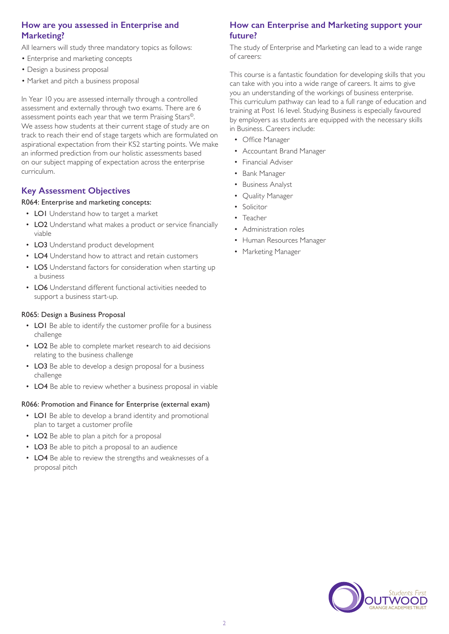## **How are you assessed in Enterprise and Marketing?**

All learners will study three mandatory topics as follows:

- Enterprise and marketing concepts
- Design a business proposal
- Market and pitch a business proposal

In Year 10 you are assessed internally through a controlled assessment and externally through two exams. There are 6 assessment points each year that we term Praising Stars©. We assess how students at their current stage of study are on track to reach their end of stage targets which are formulated on aspirational expectation from their KS2 starting points. We make an informed prediction from our holistic assessments based on our subject mapping of expectation across the enterprise curriculum.

## **Key Assessment Objectives**

### R064: Enterprise and marketing concepts:

- LO1 Understand how to target a market
- LO2 Understand what makes a product or service financially viable
- LO3 Understand product development
- LO4 Understand how to attract and retain customers
- LO5 Understand factors for consideration when starting up a business
- LO6 Understand different functional activities needed to support a business start-up.

### R065: Design a Business Proposal

- LO1 Be able to identify the customer profile for a business challenge
- LO2 Be able to complete market research to aid decisions relating to the business challenge
- LO3 Be able to develop a design proposal for a business challenge
- LO4 Be able to review whether a business proposal in viable

#### R066: Promotion and Finance for Enterprise (external exam)

- LO1 Be able to develop a brand identity and promotional plan to target a customer profile
- LO2 Be able to plan a pitch for a proposal
- LO3 Be able to pitch a proposal to an audience
- LO4 Be able to review the strengths and weaknesses of a proposal pitch

### **How can Enterprise and Marketing support your future?**

The study of Enterprise and Marketing can lead to a wide range of careers:

This course is a fantastic foundation for developing skills that you can take with you into a wide range of careers. It aims to give you an understanding of the workings of business enterprise. This curriculum pathway can lead to a full range of education and training at Post 16 level. Studying Business is especially favoured by employers as students are equipped with the necessary skills in Business. Careers include:

- Office Manager
- Accountant Brand Manager
- Financial Adviser
- Bank Manager
- Business Analyst
- Quality Manager
- Solicitor
- Teacher
- Administration roles
- Human Resources Manager
- Marketing Manager